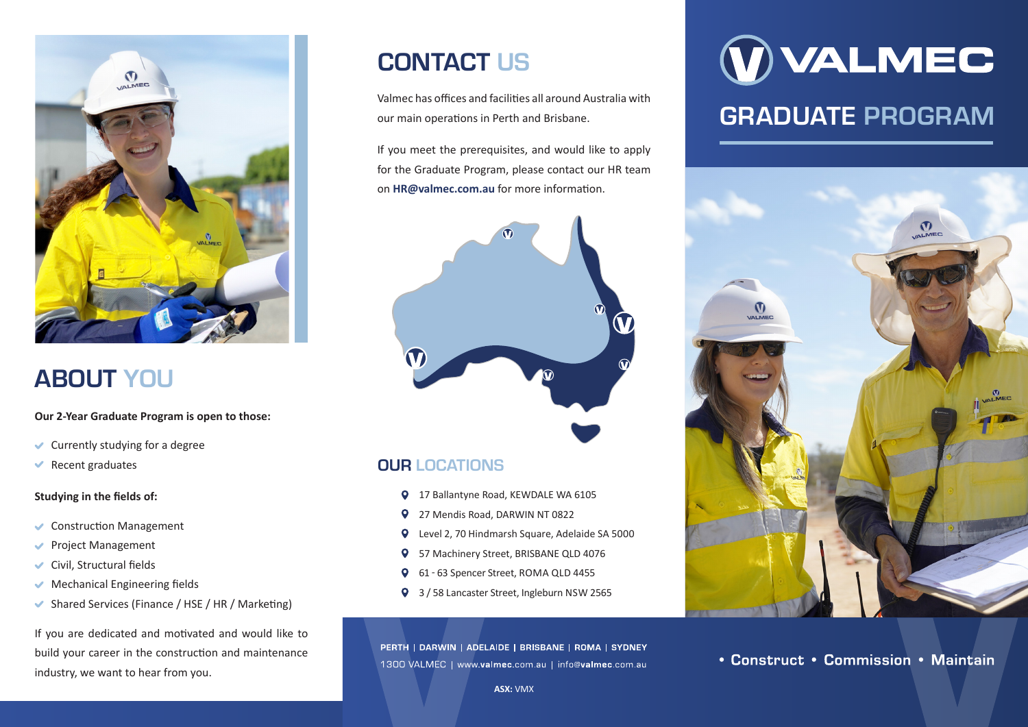

# ABOUT YOU

#### **Our 2-Year Graduate Program is open to those:**

- $\vee$  Currently studying for a degree
- $\blacktriangleright$  Recent graduates

### **Studying in the fields of:**

- Construction Management
- ◆ Project Management
- $\vee$  Civil, Structural fields
- $\blacktriangleright$  Mechanical Engineering fields
- Shared Services (Finance / HSE / HR / Marketing)

If you are dedicated and motivated and would like to build your career in the construction and maintenance industry, we want to hear from you.

## CONTACT US

Valmec has offices and facilities all around Australia with our main operations in Perth and Brisbane.

If you meet the prerequisites, and would like to apply for the Graduate Program, please contact our HR team on **HR@valmec.com.au** for more information.



## OUR LOCATIONS

- 17 Ballantyne Road, KEWDALE WA 6105
- 27 Mendis Road, DARWIN NT 0822
- Level 2, 70 Hindmarsh Square, Adelaide SA 5000
- 57 Machinery Street, BRISBANE QLD 4076
- 61 63 Spencer Street, ROMA QLD 4455
- 3 / 58 Lancaster Street, Ingleburn NSW 2565

PERTH | DARWIN | ADELAIDE | BRISBANE | ROMA | SYDNEY 1300 VALMEC | www.valmec.com.au | info@valmec.com.au

# **WALMEC** GRADUATE PROGRAM



• Construct • Commission • Maintain